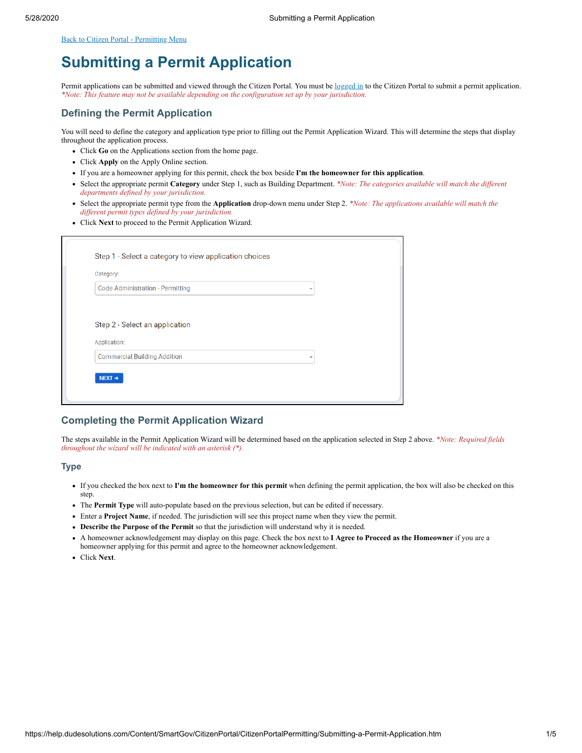<span id="page-0-0"></span>[Back to Citizen Portal - Permitting Menu](https://help.dudesolutions.com/Content/SmartGov/CitizenPortal/CitizenPortalPermitting/Citizen-Portal-Permitting.htm)

# **Submitting a Permit Application**

Permit applications can be submitted and viewed through the Citizen Portal. You must be [logged in](https://help.dudesolutions.com/Content/SmartGov/CitizenPortal/Citizen-Portal-Registration-And-Login.htm#How2) to the Citizen Portal to submit a permit application. *\*Note: This feature may not be available depending on the configuration set up by your jurisdiction.*

## **Defining the Permit Application**

You will need to define the category and application type prior to filling out the Permit Application Wizard. This will determine the steps that display throughout the application process.

- Click **Go** on the Applications section from the home page.
- Click **Apply** on the Apply Online section.
- If you are a homeowner applying for this permit, check the box beside **I'm the homeowner for this application**.
- Select the appropriate permit **Category** under Step 1, such as Building Department. *\*Note: The categories available will match the different departments defined by your jurisdiction.*
- Select the appropriate permit type from the **Application** drop-down menu under Step 2. *\*Note: The applications available will match the different permit types defined by your jurisdiction.*
- Click **Next** to proceed to the Permit Application Wizard.

| <b>Code Administration - Permitting</b> | $\overline{\phantom{a}}$ |  |
|-----------------------------------------|--------------------------|--|
|                                         |                          |  |
|                                         |                          |  |
|                                         |                          |  |
| Step 2 - Select an application          |                          |  |
| Application:                            |                          |  |

## **Completing the Permit Application Wizard**

The steps available in the Permit Application Wizard will be determined based on the application selected in Step 2 above. *\*Note: Required fields throughout the wizard will be indicated with an asterisk (\*).*

#### **Type**

- If you checked the box next to **I'm the homeowner for this permit** when defining the permit application, the box will also be checked on this step.
- The **Permit Type** will auto-populate based on the previous selection, but can be edited if necessary.
- Enter a **Project Name**, if needed. The jurisdiction will see this project name when they view the permit.
- **Describe the Purpose of the Permit** so that the jurisdiction will understand why it is needed.
- A homeowner acknowledgement may display on this page. Check the box next to **I Agree to Proceed as the Homeowner** if you are a homeowner applying for this permit and agree to the homeowner acknowledgement.
- Click **Next**.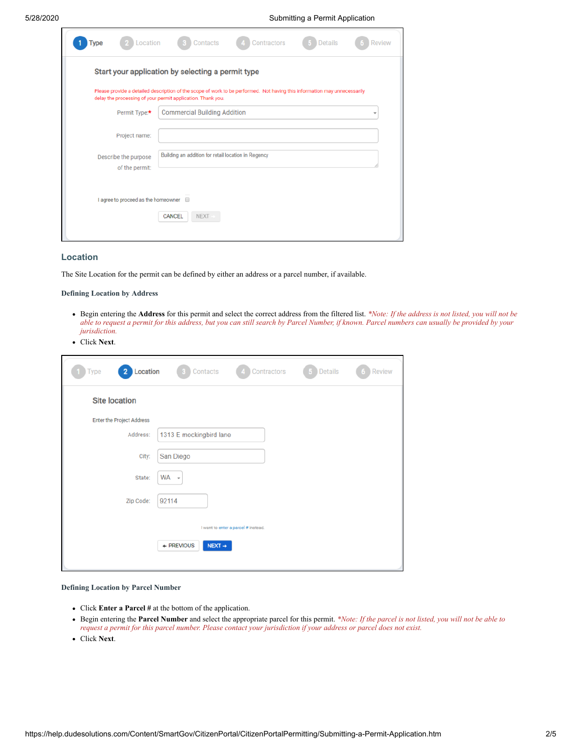5/28/2020 Submitting a Permit Application

|                                        | Start your application by selecting a permit type                                                                                                                                        |
|----------------------------------------|------------------------------------------------------------------------------------------------------------------------------------------------------------------------------------------|
|                                        | Please provide a detailed description of the scope of work to be performed. Not having this information may unnecessarily<br>delay the processing of your permit application. Thank you. |
| Permit Type:*                          | <b>Commercial Building Addition</b><br>٠                                                                                                                                                 |
| Project name:                          |                                                                                                                                                                                          |
| Describe the purpose<br>of the permit: | Building an addition for retail location in Regency                                                                                                                                      |
|                                        |                                                                                                                                                                                          |

### **Location**

The Site Location for the permit can be defined by either an address or a parcel number, if available.

#### **Defining Location by Address**

- Begin entering the **Address** for this permit and select the correct address from the filtered list. *\*Note: If the address is not listed, you will not be able to request a permit for this address, but you can still search by Parcel Number, if known. Parcel numbers can usually be provided by your jurisdiction.*
- Click **Next**.

| 2 Location<br>Type        | Contacts                 | Contractors                         | Details | Review |
|---------------------------|--------------------------|-------------------------------------|---------|--------|
| <b>Site location</b>      |                          |                                     |         |        |
| Enter the Project Address |                          |                                     |         |        |
| Address:                  | 1313 E mockingbird lane  |                                     |         |        |
| City:                     | San Diego                |                                     |         |        |
| State:                    | WA +                     |                                     |         |        |
| Zip Code:                 | 92114                    |                                     |         |        |
|                           |                          | I want to enter a parcel # instead. |         |        |
|                           | $+$ PREVIOUS<br>$NEXT +$ |                                     |         |        |
|                           |                          |                                     |         |        |

**Defining Location by Parcel Number**

- Click **Enter a Parcel #** at the bottom of the application.
- Begin entering the **Parcel Number** and select the appropriate parcel for this permit. *\*Note: If the parcel is not listed, you will not be able to request a permit for this parcel number. Please contact your jurisdiction if your address or parcel does not exist.*
- Click **Next**.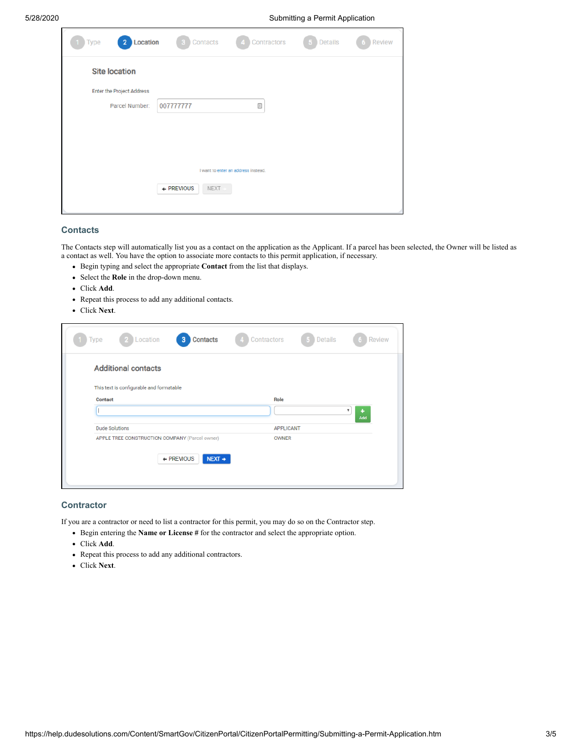#### 5/28/2020 Submitting a Permit Application

| 2 Location<br>Type               | Contacts                    | Contractors                         | Details | <b>Review</b> |
|----------------------------------|-----------------------------|-------------------------------------|---------|---------------|
| <b>Site location</b>             |                             |                                     |         |               |
| <b>Enter the Project Address</b> |                             |                                     |         |               |
| Parcel Number:                   | 007777777                   | $\boxed{\frac{\Lambda}{\Box}}$      |         |               |
|                                  |                             |                                     |         |               |
|                                  |                             |                                     |         |               |
|                                  |                             |                                     |         |               |
|                                  |                             | I want to enter an address instead. |         |               |
|                                  | $+$ PREVIOUS<br><b>NEXT</b> |                                     |         |               |
|                                  |                             |                                     |         |               |

## **Contacts**

The Contacts step will automatically list you as a contact on the application as the Applicant. If a parcel has been selected, the Owner will be listed as a contact as well. You have the option to associate more contacts to this permit application, if necessary.

- Begin typing and select the appropriate **Contact** from the list that displays.
- Select the **Role** in the drop-down menu.
- Click **Add**.
- Repeat this process to add any additional contacts.
- Click **Next**.

| Type    | Location<br>-2                                 | Contacts<br>3                    | Contractors      | 5 Details | Review   |
|---------|------------------------------------------------|----------------------------------|------------------|-----------|----------|
|         | <b>Additional contacts</b>                     |                                  |                  |           |          |
|         | This text is configurable and formatable       |                                  |                  |           |          |
| Contact |                                                |                                  | Role             |           | ۰<br>Add |
|         | <b>Dude Solutions</b>                          |                                  | <b>APPLICANT</b> |           |          |
|         | APPLE TREE CONSTRUCTION COMPANY (Parcel owner) |                                  | <b>OWNER</b>     |           |          |
|         |                                                | + PREVIOUS<br>$NEXT \rightarrow$ |                  |           |          |

### **Contractor**

If you are a contractor or need to list a contractor for this permit, you may do so on the Contractor step.

- Begin entering the **Name or License #** for the contractor and select the appropriate option.
- Click **Add**.
- Repeat this process to add any additional contractors.
- Click **Next**.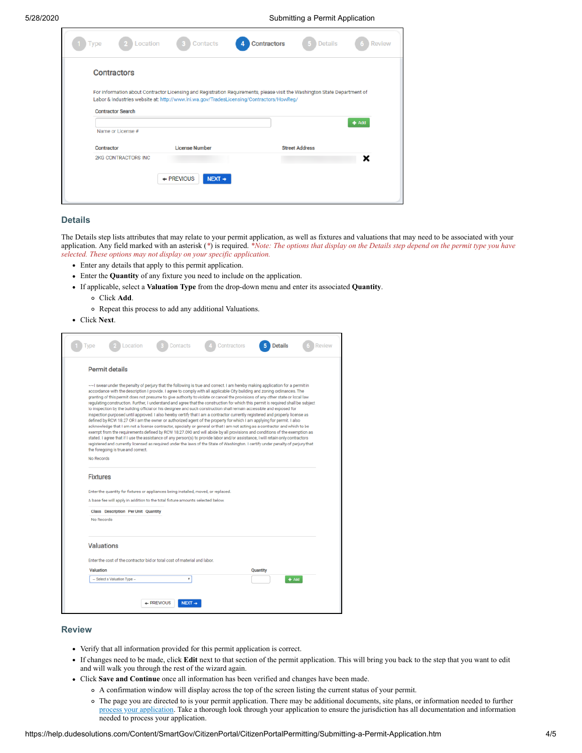5/28/2020 Submitting a Permit Application

| Type       | Location                   | Contacts                                                                                                                                                                                                              | Contractors | <b>Details</b>        | <b>Review</b> |
|------------|----------------------------|-----------------------------------------------------------------------------------------------------------------------------------------------------------------------------------------------------------------------|-------------|-----------------------|---------------|
|            | Contractors                |                                                                                                                                                                                                                       |             |                       |               |
|            | <b>Contractor Search</b>   | For information about Contractor Licensing and Registration Requirements, please visit the Washington State Department of<br>Labor & Industries website at: http://www.lni.wa.gov/TradesLicensing/Contractors/HowReg/ |             |                       |               |
|            | Name or License #          |                                                                                                                                                                                                                       |             |                       | $+$ Add       |
| Contractor |                            | <b>License Number</b>                                                                                                                                                                                                 |             | <b>Street Address</b> |               |
|            | <b>2KG CONTRACTORS INC</b> |                                                                                                                                                                                                                       |             |                       | ×             |
|            |                            | $+$ PREVIOUS<br>$NEXT +$                                                                                                                                                                                              |             |                       |               |
|            |                            |                                                                                                                                                                                                                       |             |                       |               |

#### **Details**

The Details step lists attributes that may relate to your permit application, as well as fixtures and valuations that may need to be associated with your application. Any field marked with an asterisk (*\**) is required. *\*Note: The options that display on the Details step depend on the permit type you have selected. These options may not display on your specific application.*

- Enter any details that apply to this permit application.
- Enter the **Quantity** of any fixture you need to include on the application.
- If applicable, select a **Valuation Type** from the drop-down menu and enter its associated **Quantity**.
	- Click **Add**.
	- Repeat this process to add any additional Valuations.
- Click **Next**.

|                 | Location                                                                                                                                                             | Contacts | Contractors                                                                                                                                                                                                                                                                                                                                                                                                                                                                                                                                                                                                                                                                                                                                                                                                                                                                                                                                                                                                                                                                                                                                                                                                                                                                                                                                                                                                                                              | <b>Details</b> | Review |
|-----------------|----------------------------------------------------------------------------------------------------------------------------------------------------------------------|----------|----------------------------------------------------------------------------------------------------------------------------------------------------------------------------------------------------------------------------------------------------------------------------------------------------------------------------------------------------------------------------------------------------------------------------------------------------------------------------------------------------------------------------------------------------------------------------------------------------------------------------------------------------------------------------------------------------------------------------------------------------------------------------------------------------------------------------------------------------------------------------------------------------------------------------------------------------------------------------------------------------------------------------------------------------------------------------------------------------------------------------------------------------------------------------------------------------------------------------------------------------------------------------------------------------------------------------------------------------------------------------------------------------------------------------------------------------------|----------------|--------|
|                 | <b>Permit details</b>                                                                                                                                                |          |                                                                                                                                                                                                                                                                                                                                                                                                                                                                                                                                                                                                                                                                                                                                                                                                                                                                                                                                                                                                                                                                                                                                                                                                                                                                                                                                                                                                                                                          |                |        |
| No Records      | the foregoing is true and correct.                                                                                                                                   |          | ~~I swear under the penalty of perjury that the following is true and correct. I am hereby making application for a permit in<br>accordance with the description I provide. I agree to comply with all applicable City building and zoning ordinances. The<br>granting of this permit does not presume to give authority to violate or cancel the provisions of any other state or local law<br>regulating construction. Further, I understand and agree that the construction for which this permit is required shall be subject<br>to inspection by the building official or his designee and such construction shall remain accessible and exposed for<br>inspection purposed until approved. I also hereby certify that I am a contractor currently registered and properly license as<br>defined by RCW 18.27 OR I am the owner or authorized agent of the property for which I am applying for permit. I also<br>acknowledge that I am not a license contractor, specialty or general or that I am not acting as a contractor and which to be<br>exempt from the requirements defined by RCW 18.27.090 and will abide by all provisions and conditions of the exemption as<br>stated. I agree that if I use the assistance of any person(s) to provide labor and/or assistance, I will retain only contractors<br>registered and currently licensed as required under the laws of the State of Washington. I certify under penalty of perjury that |                |        |
|                 |                                                                                                                                                                      |          |                                                                                                                                                                                                                                                                                                                                                                                                                                                                                                                                                                                                                                                                                                                                                                                                                                                                                                                                                                                                                                                                                                                                                                                                                                                                                                                                                                                                                                                          |                |        |
| <b>Fixtures</b> |                                                                                                                                                                      |          |                                                                                                                                                                                                                                                                                                                                                                                                                                                                                                                                                                                                                                                                                                                                                                                                                                                                                                                                                                                                                                                                                                                                                                                                                                                                                                                                                                                                                                                          |                |        |
|                 | Enter the quantity for fixtures or appliances being installed, moved, or replaced.<br>A base fee will apply in addition to the total fixture amounts selected below. |          |                                                                                                                                                                                                                                                                                                                                                                                                                                                                                                                                                                                                                                                                                                                                                                                                                                                                                                                                                                                                                                                                                                                                                                                                                                                                                                                                                                                                                                                          |                |        |
|                 | <b>Class Description Per Unit Quantity</b>                                                                                                                           |          |                                                                                                                                                                                                                                                                                                                                                                                                                                                                                                                                                                                                                                                                                                                                                                                                                                                                                                                                                                                                                                                                                                                                                                                                                                                                                                                                                                                                                                                          |                |        |
| No Records      |                                                                                                                                                                      |          |                                                                                                                                                                                                                                                                                                                                                                                                                                                                                                                                                                                                                                                                                                                                                                                                                                                                                                                                                                                                                                                                                                                                                                                                                                                                                                                                                                                                                                                          |                |        |
|                 | <b>Valuations</b>                                                                                                                                                    |          |                                                                                                                                                                                                                                                                                                                                                                                                                                                                                                                                                                                                                                                                                                                                                                                                                                                                                                                                                                                                                                                                                                                                                                                                                                                                                                                                                                                                                                                          |                |        |
|                 | Enter the cost of the contractor bid or total cost of material and labor.                                                                                            |          |                                                                                                                                                                                                                                                                                                                                                                                                                                                                                                                                                                                                                                                                                                                                                                                                                                                                                                                                                                                                                                                                                                                                                                                                                                                                                                                                                                                                                                                          |                |        |
| Valuation       |                                                                                                                                                                      |          |                                                                                                                                                                                                                                                                                                                                                                                                                                                                                                                                                                                                                                                                                                                                                                                                                                                                                                                                                                                                                                                                                                                                                                                                                                                                                                                                                                                                                                                          | Quantity       |        |

#### **Review**

- Verify that all information provided for this permit application is correct.
- If changes need to be made, click **Edit** next to that section of the permit application. This will bring you back to the step that you want to edit and will walk you through the rest of the wizard again.
- Click **Save and Continue** once all information has been verified and changes have been made.
	- A confirmation window will display across the top of the screen listing the current status of your permit.
	- The page you are directed to is your permit application. There may be additional documents, site plans, or information needed to further [process your application](https://help.dudesolutions.com/Content/SmartGov/CitizenPortal/CitizenPortalPermitting/Managing-Your-Permit-Application.htm). Take a thorough look through your application to ensure the jurisdiction has all documentation and information needed to process your application.